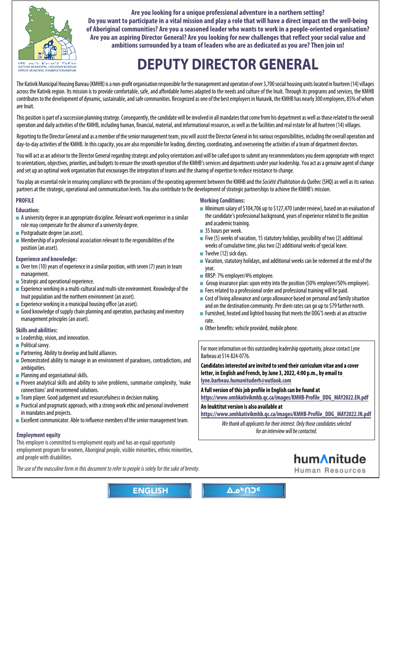<span id="page-0-0"></span>

**Are you looking for a unique professional adventure in a northern setting? Do you want to participate in a vital mission and play a role that will have a direct impact on the well-being of Aboriginal communities? Are you a seasoned leader who wants to work in a people-oriented organisation? Are you an aspiring Director General? Are you looking for new challenges that reflect your social value and ambitions surrounded by a team of leaders who are as dedicated as you are? Then join us!**

# **[DEPUTY DIRECTOR GENERAL](https://www.omhkativikmhb.qc.ca/images/KMHB-Profile_DDG_MAY2022.EN.pdf)**

The Kativik Municipal Housing Bureau (KMHB) is a non-profit organisation responsible for the management and operation of over 3,700 social housing units located in fourteen (14) villages across the Kativik region. Its mission is to provide comfortable, safe, and affordable homes adapted to the needs and culture of the Inuit. Through its programs and services, the KMHB contributes to the development of dynamic, sustainable, and safe communities. Recognized as one of the best employers in Nunavik, the KMHB has nearly 300 employees, 85% of whom are Inuit.

This position is part of a succession planning strategy. Consequently, the candidate will be involved in all mandates that come from his department as well as those related to the overall operation and daily activities of the KMHB, including human, financial, material, and informational resources, as well as the facilities and real estate for all fourteen (14) villages.

Reporting to the Director General and as a member of the senior management team, you will assist the Director General in his various responsibilities, including the overall operation and day-to-day activities of the KMHB. In this capacity, you are also responsible for leading, directing, coordinating, and overseeing the activities of a team of department directors.

You will act as an advisor to the Director General regarding strategic and policy orientations and will be called upon to submit any recommendations you deem appropriate with respect to orientations, objectives, priorities, and budgets to ensure the smooth operation of the KMHB's services and departments under your leadership. You act as a genuine agent of change and set up an optimal work organisation that encourages the integration of teams and the sharing of expertise to reduce resistance to change.

You play an essential role in ensuring compliance with the provisions of the operating agreement between the KMHB and the Société d'habitation du Québec (SHQ) as well as its various partners at the strategic, operational and communication levels. You also contribute to the development of strategic partnerships to achieve the KMHB's mission.

## **PROFILE**

### **Education:**

- $\blacksquare$  A university degree in an appropriate discipline. Relevant work experience in a similar role may compensate for the absence of a university degree.
- Postgraduate degree (an asset).
- Membership of a professional association relevant to the responsibilities of the position (an asset).

### **Experience and knowledge:**

- $\blacksquare$  Over ten (10) years of experience in a similar position, with seven (7) years in team management.
- Strategic and operational experience.
- $\blacksquare$  Experience working in a multi-cultural and multi-site environment. Knowledge of the Inuit population and the northern environment (an asset).
- Experience working in a municipal housing office (an asset).
- Good knowledge of supply chain planning and operation, purchasing and inventory management principles (an asset).

### **Skills and abilities:**

- Leadership, vision, and innovation.
- Political savvv.
- Partnering. Ability to develop and build alliances.
- Demonstrated ability to manage in an environment of paradoxes, contradictions, and ambiguities.
- Planning and organisational skills.
- Proven analytical skills and ability to solve problems, summarise complexity, 'make connections' and recommend solutions.
- Team player. Good judgement and resourcefulness in decision making.
- Practical and pragmatic approach, with a strong work ethic and personal involvement in mandates and projects.
- Excellent communicator. Able to influence members of the senior management team.

## **Employment equity**

This employer is committed to employment equity and has an equal opportunity employment program for women, Aboriginal people, visible minorities, ethnic minorities, and people with disabilities.

[The use of the masculine form in this document to refer to people is solely for the sake of brevity](https://www.omhkativikmhb.qc.ca/images/KMHB-Profile_DDG_MAY2022.EN.pdf).

### **Working Conditions:**

- Minimum salary of \$104,706 up to \$127,470 (under review), based on an evaluation of the candidate's professional background, years of experience related to the position and academic training.
- 35 hours per week.
- Five (5) weeks of vacation, 15 statutory holidays, possibility of two (2) additional weeks of cumulative time, plus two (2) additional weeks of special leave.
- Twelve (12) sick days.
- Vacation, statutory holidays, and additional weeks can be redeemed at the end of the year.
- RRSP: 7% employer/4% employee.
- Group insurance plan: upon entry into the position (50% employer/50% employee).
- Fees related to a professional order and professional training will be paid.
- Cost of living allowance and cargo allowance based on personal and family situation and on the destination community. Per diem rates can go up to \$79 farther north.
- Furnished, heated and lighted housing that meets the DDG'S needs at an attractive rate.
- Other benefits: vehicle provided, mobile phone.

For more information on this outstanding leadership opportunity, please contact Lyne Barbeau at 514-824-0776.

**Candidates interested are invited to send their curriculum vitae and a cover letter, in English and French, by June 3, 2022, 4:00 p.m., by email to lyne.barbeau.humanituderh@outlook.com**

**A full version of this job profile in English can be found at** 

**https://www.omhkativikmhb.qc.ca/images/KMHB-Profile\_DDG\_MAY2022.EN.pdf**

**An Inuktitut version is also available at** 

**https://www.omhkativikmhb.qc.ca/images/KMHB-Profile\_DDG\_MAY2022.IN.pdf**

We thank all applicants for their interest. Only those candidates selected for an interview will be contacted.